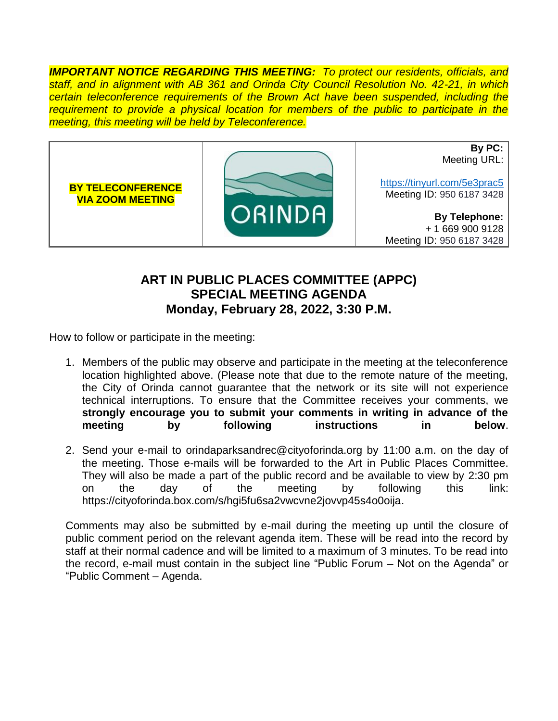*IMPORTANT NOTICE REGARDING THIS MEETING: To protect our residents, officials, and staff, and in alignment with AB 361 and Orinda City Council Resolution No. 42-21, in which certain teleconference requirements of the Brown Act have been suspended, including the requirement to provide a physical location for members of the public to participate in the meeting, this meeting will be held by Teleconference.*



## **ART IN PUBLIC PLACES COMMITTEE (APPC) SPECIAL MEETING AGENDA Monday, February 28, 2022, 3:30 P.M.**

How to follow or participate in the meeting:

- 1. Members of the public may observe and participate in the meeting at the teleconference location highlighted above. (Please note that due to the remote nature of the meeting, the City of Orinda cannot guarantee that the network or its site will not experience technical interruptions. To ensure that the Committee receives your comments, we **strongly encourage you to submit your comments in writing in advance of the meeting by following instructions in below**.
- 2. Send your e-mail to orindaparksandrec@cityoforinda.org by 11:00 a.m. on the day of the meeting. Those e-mails will be forwarded to the Art in Public Places Committee. They will also be made a part of the public record and be available to view by 2:30 pm on the day of the meeting by following this link: https://cityoforinda.box.com/s/hgi5fu6sa2vwcvne2jovvp45s4o0oija.

Comments may also be submitted by e-mail during the meeting up until the closure of public comment period on the relevant agenda item. These will be read into the record by staff at their normal cadence and will be limited to a maximum of 3 minutes. To be read into the record, e-mail must contain in the subject line "Public Forum – Not on the Agenda" or "Public Comment – Agenda.